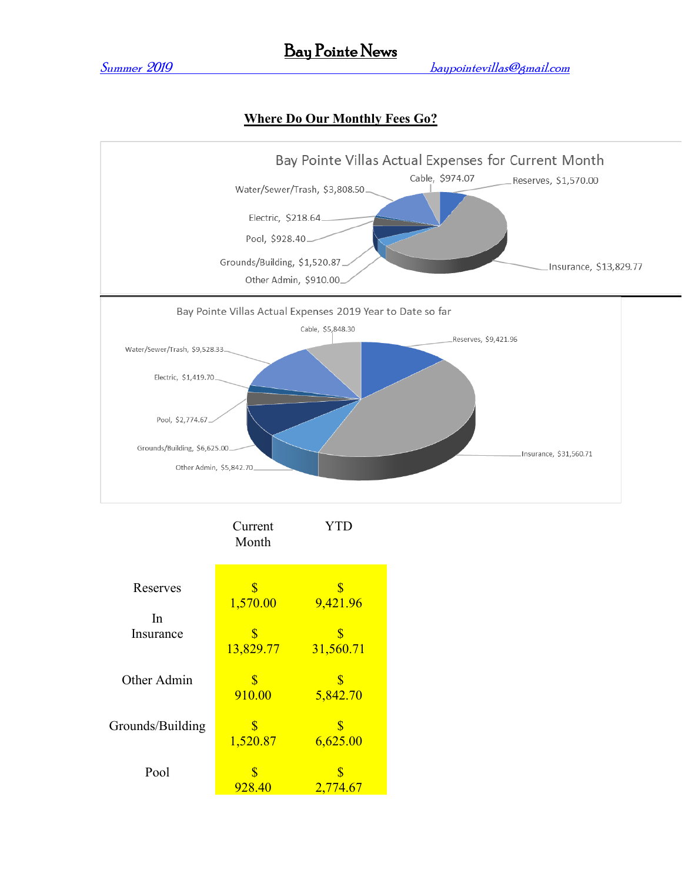# Bay Pointe News

Summer 2019 baypointevillas@gmail.com

### **Where Do Our Monthly Fees Go?**



|                  | Current<br>Month                     | YTD                                  |
|------------------|--------------------------------------|--------------------------------------|
| Reserves         | $\boldsymbol{\$\}$                   | \$                                   |
| In               | 1,570.00                             | 9,421.96                             |
| Insurance        | $\overline{\mathbf{S}}$<br>13,829.77 | $\overline{\mathbb{S}}$<br>31,560.71 |
| Other Admin      | S<br>910.00                          | 5,842.70                             |
| Grounds/Building | $\boldsymbol{\$\}$<br>1,520.87       | \$<br>6,625.00                       |
| Pool             | 928.40                               | $\boldsymbol{\$\}$<br>2,774.67       |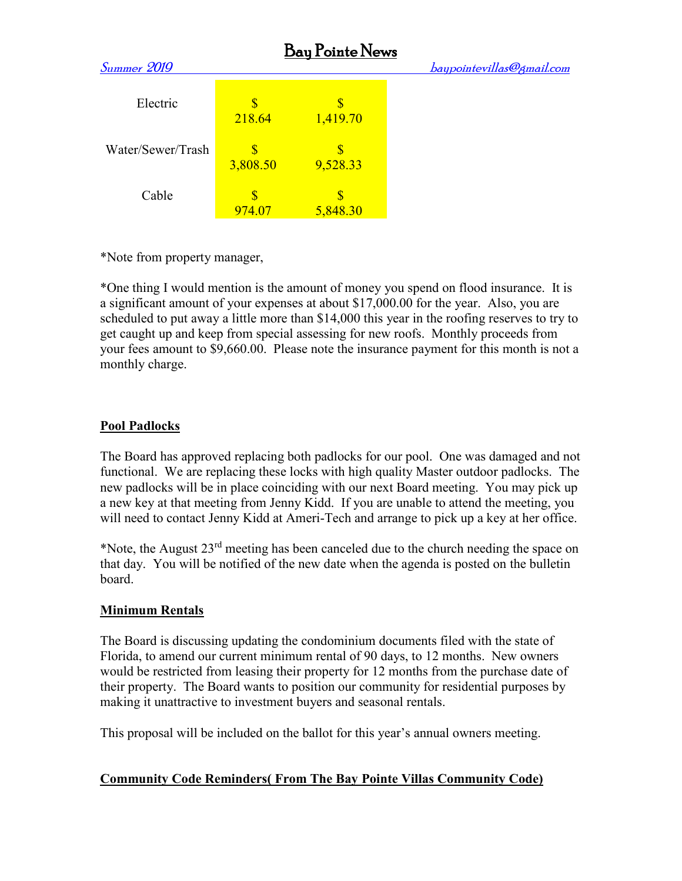| <b>Bay Pointe News</b> |          |          |                           |  |  |  |
|------------------------|----------|----------|---------------------------|--|--|--|
| Summer 2019            |          |          | baypointevillas@gmail.com |  |  |  |
| Electric               | 218.64   | 1,419.70 |                           |  |  |  |
| Water/Sewer/Trash      | 3,808.50 | 9,528.33 |                           |  |  |  |
| Cable                  | 974.07   | 5,848.30 |                           |  |  |  |

\*Note from property manager,

\*One thing I would mention is the amount of money you spend on flood insurance. It is a significant amount of your expenses at about \$17,000.00 for the year. Also, you are scheduled to put away a little more than \$14,000 this year in the roofing reserves to try to get caught up and keep from special assessing for new roofs. Monthly proceeds from your fees amount to \$9,660.00. Please note the insurance payment for this month is not a monthly charge.

## **Pool Padlocks**

The Board has approved replacing both padlocks for our pool. One was damaged and not functional. We are replacing these locks with high quality Master outdoor padlocks. The new padlocks will be in place coinciding with our next Board meeting. You may pick up a new key at that meeting from Jenny Kidd. If you are unable to attend the meeting, you will need to contact Jenny Kidd at Ameri-Tech and arrange to pick up a key at her office.

\*Note, the August  $23<sup>rd</sup>$  meeting has been canceled due to the church needing the space on that day. You will be notified of the new date when the agenda is posted on the bulletin board.

## **Minimum Rentals**

The Board is discussing updating the condominium documents filed with the state of Florida, to amend our current minimum rental of 90 days, to 12 months. New owners would be restricted from leasing their property for 12 months from the purchase date of their property. The Board wants to position our community for residential purposes by making it unattractive to investment buyers and seasonal rentals.

This proposal will be included on the ballot for this year's annual owners meeting.

## **Community Code Reminders( From The Bay Pointe Villas Community Code)**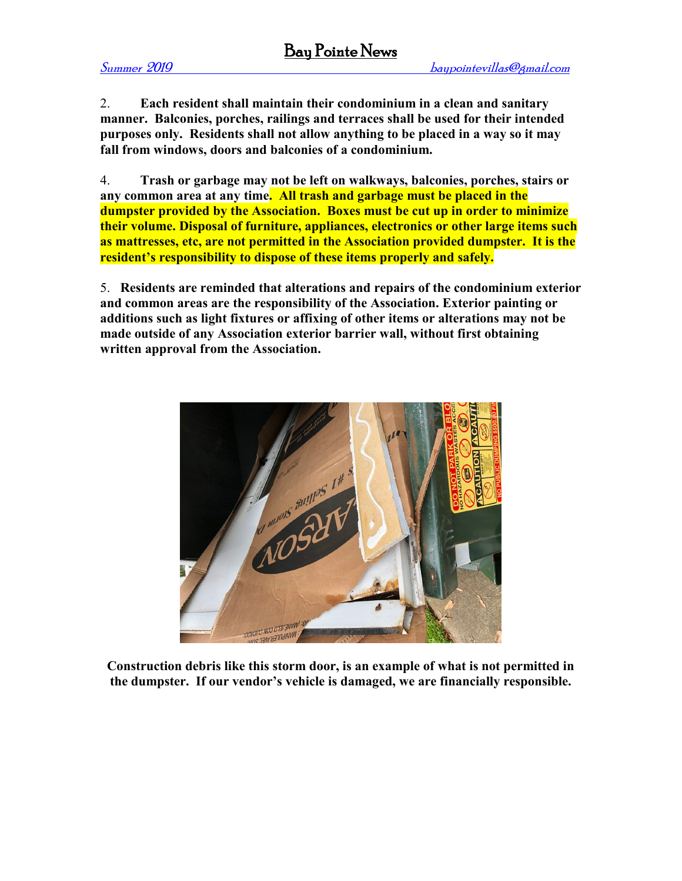2. **Each resident shall maintain their condominium in a clean and sanitary manner. Balconies, porches, railings and terraces shall be used for their intended purposes only. Residents shall not allow anything to be placed in a way so it may fall from windows, doors and balconies of a condominium.**

4. **Trash or garbage may not be left on walkways, balconies, porches, stairs or any common area at any time. All trash and garbage must be placed in the dumpster provided by the Association. Boxes must be cut up in order to minimize their volume. Disposal of furniture, appliances, electronics or other large items such as mattresses, etc, are not permitted in the Association provided dumpster. It is the resident's responsibility to dispose of these items properly and safely.**

5. **Residents are reminded that alterations and repairs of the condominium exterior and common areas are the responsibility of the Association. Exterior painting or additions such as light fixtures or affixing of other items or alterations may not be made outside of any Association exterior barrier wall, without first obtaining written approval from the Association.**



**Construction debris like this storm door, is an example of what is not permitted in the dumpster. If our vendor's vehicle is damaged, we are financially responsible.**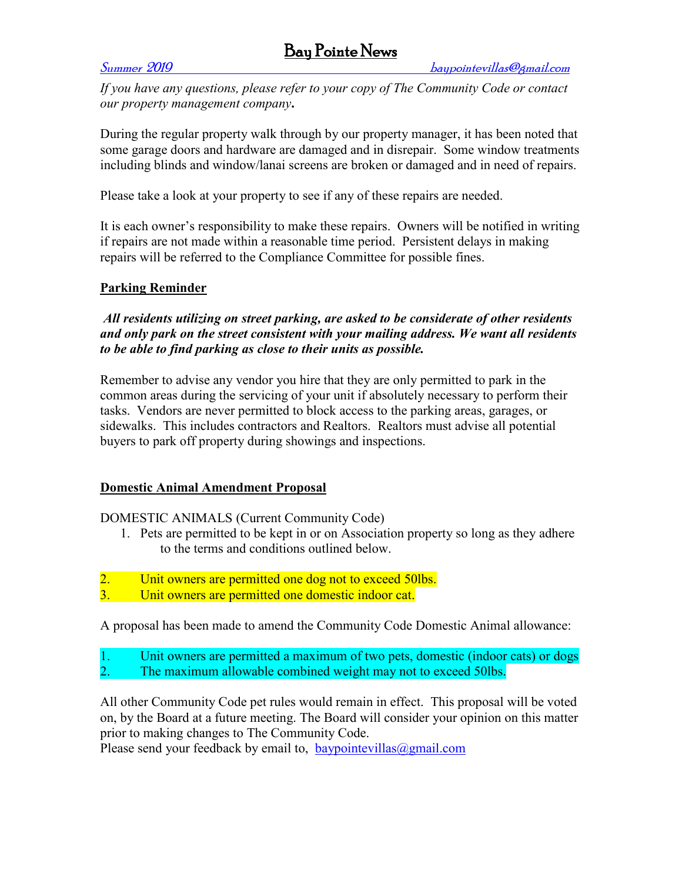## Bay Pointe News

*If you have any questions, please refer to your copy of The Community Code or contact our property management company***.**

During the regular property walk through by our property manager, it has been noted that some garage doors and hardware are damaged and in disrepair. Some window treatments including blinds and window/lanai screens are broken or damaged and in need of repairs.

Please take a look at your property to see if any of these repairs are needed.

It is each owner's responsibility to make these repairs. Owners will be notified in writing if repairs are not made within a reasonable time period. Persistent delays in making repairs will be referred to the Compliance Committee for possible fines.

### **Parking Reminder**

*All residents utilizing on street parking, are asked to be considerate of other residents and only park on the street consistent with your mailing address. We want all residents to be able to find parking as close to their units as possible.*

Remember to advise any vendor you hire that they are only permitted to park in the common areas during the servicing of your unit if absolutely necessary to perform their tasks. Vendors are never permitted to block access to the parking areas, garages, or sidewalks. This includes contractors and Realtors. Realtors must advise all potential buyers to park off property during showings and inspections.

#### **Domestic Animal Amendment Proposal**

DOMESTIC ANIMALS (Current Community Code)

- 1. Pets are permitted to be kept in or on Association property so long as they adhere to the terms and conditions outlined below.
- 2. Unit owners are permitted one dog not to exceed 50lbs.
- 3. Unit owners are permitted one domestic indoor cat.

A proposal has been made to amend the Community Code Domestic Animal allowance:

- 1. Unit owners are permitted a maximum of two pets, domestic (indoor cats) or dogs
- 2. The maximum allowable combined weight may not to exceed 50lbs.

All other Community Code pet rules would remain in effect. This proposal will be voted on, by the Board at a future meeting. The Board will consider your opinion on this matter prior to making changes to The Community Code.

Please send your feedback by email to, baypointevillas  $\omega$ gmail.com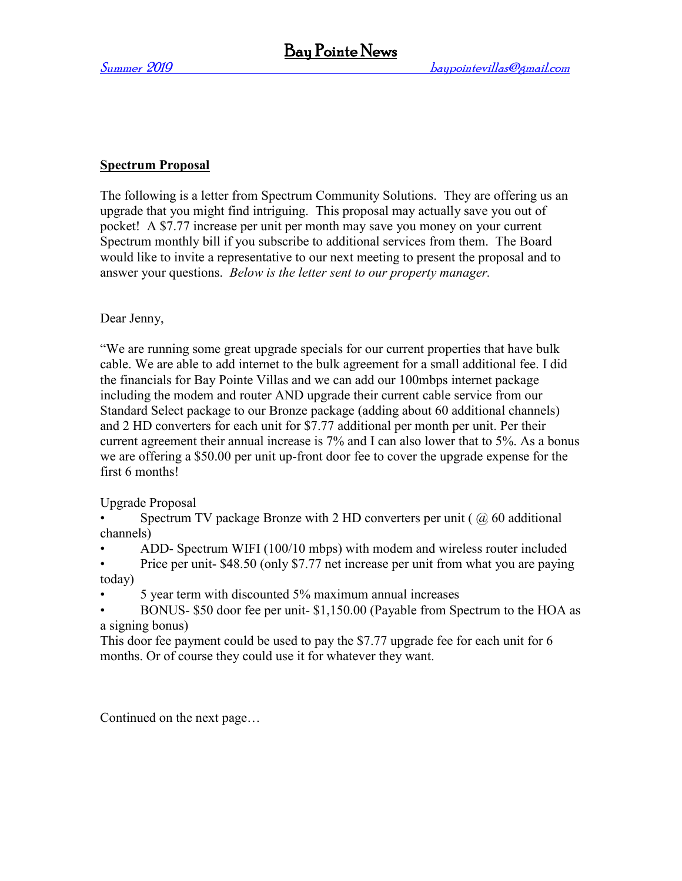### **Spectrum Proposal**

The following is a letter from Spectrum Community Solutions. They are offering us an upgrade that you might find intriguing. This proposal may actually save you out of pocket! A \$7.77 increase per unit per month may save you money on your current Spectrum monthly bill if you subscribe to additional services from them. The Board would like to invite a representative to our next meeting to present the proposal and to answer your questions. *Below is the letter sent to our property manager.*

Dear Jenny,

"We are running some great upgrade specials for our current properties that have bulk cable. We are able to add internet to the bulk agreement for a small additional fee. I did the financials for Bay Pointe Villas and we can add our 100mbps internet package including the modem and router AND upgrade their current cable service from our Standard Select package to our Bronze package (adding about 60 additional channels) and 2 HD converters for each unit for \$7.77 additional per month per unit. Per their current agreement their annual increase is 7% and I can also lower that to 5%. As a bonus we are offering a \$50.00 per unit up-front door fee to cover the upgrade expense for the first 6 months!

Upgrade Proposal

Spectrum TV package Bronze with 2 HD converters per unit ( $\omega$  60 additional channels)

• ADD- Spectrum WIFI (100/10 mbps) with modem and wireless router included

Price per unit- \$48.50 (only \$7.77 net increase per unit from what you are paying today)

• 5 year term with discounted 5% maximum annual increases

• BONUS- \$50 door fee per unit- \$1,150.00 (Payable from Spectrum to the HOA as a signing bonus)

This door fee payment could be used to pay the \$7.77 upgrade fee for each unit for 6 months. Or of course they could use it for whatever they want.

Continued on the next page…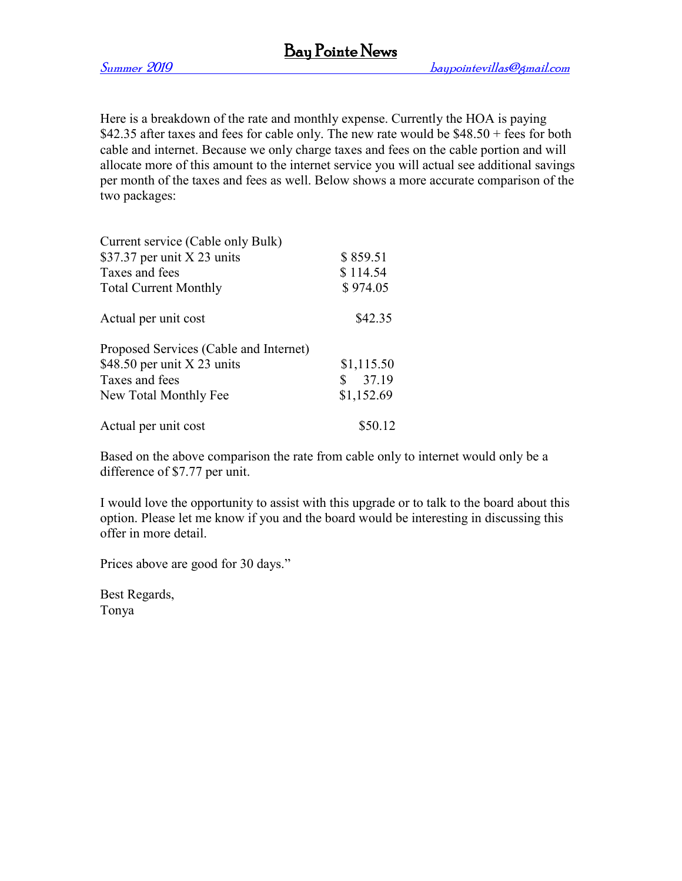Here is a breakdown of the rate and monthly expense. Currently the HOA is paying \$42.35 after taxes and fees for cable only. The new rate would be  $$48.50 + fees$  for both cable and internet. Because we only charge taxes and fees on the cable portion and will allocate more of this amount to the internet service you will actual see additional savings per month of the taxes and fees as well. Below shows a more accurate comparison of the two packages:

| Current service (Cable only Bulk)      |            |
|----------------------------------------|------------|
| \$37.37 per unit $X$ 23 units          | \$859.51   |
| Taxes and fees                         | \$114.54   |
| <b>Total Current Monthly</b>           | \$974.05   |
| Actual per unit cost                   | \$42.35    |
| Proposed Services (Cable and Internet) |            |
| \$48.50 per unit $X$ 23 units          | \$1,115.50 |
| Taxes and fees                         | \$37.19    |
| New Total Monthly Fee                  | \$1,152.69 |
| Actual per unit cost                   | \$50.12    |

Based on the above comparison the rate from cable only to internet would only be a difference of \$7.77 per unit.

I would love the opportunity to assist with this upgrade or to talk to the board about this option. Please let me know if you and the board would be interesting in discussing this offer in more detail.

Prices above are good for 30 days."

Best Regards, Tonya